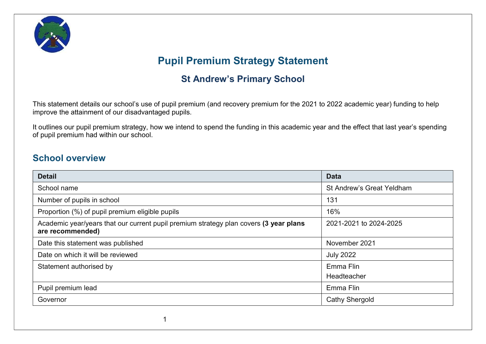

# Pupil Premium Strategy Statement

## St Andrew's Primary School

This statement details our school's use of pupil premium (and recovery premium for the 2021 to 2022 academic year) funding to help improve the attainment of our disadvantaged pupils.

It outlines our pupil premium strategy, how we intend to spend the funding in this academic year and the effect that last year's spending of pupil premium had within our school.

#### School overview

| <b>Detail</b>                                                                                             | <b>Data</b>                      |
|-----------------------------------------------------------------------------------------------------------|----------------------------------|
| School name                                                                                               | <b>St Andrew's Great Yeldham</b> |
| Number of pupils in school                                                                                | 131                              |
| Proportion (%) of pupil premium eligible pupils                                                           | 16%                              |
| Academic year/years that our current pupil premium strategy plan covers (3 year plans<br>are recommended) | 2021-2021 to 2024-2025           |
| Date this statement was published                                                                         | November 2021                    |
| Date on which it will be reviewed                                                                         | <b>July 2022</b>                 |
| Statement authorised by                                                                                   | Emma Flin<br>Headteacher         |
| Pupil premium lead                                                                                        | Emma Flin                        |
| Governor                                                                                                  | <b>Cathy Shergold</b>            |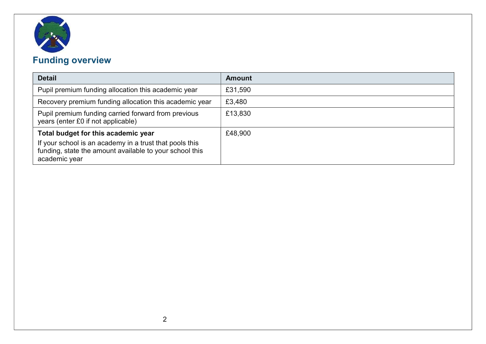

# Funding overview

| <b>Detail</b>                                                                                                                                                              | <b>Amount</b> |
|----------------------------------------------------------------------------------------------------------------------------------------------------------------------------|---------------|
| Pupil premium funding allocation this academic year                                                                                                                        | £31,590       |
| Recovery premium funding allocation this academic year                                                                                                                     | £3,480        |
| Pupil premium funding carried forward from previous<br>years (enter £0 if not applicable)                                                                                  | £13,830       |
| Total budget for this academic year<br>If your school is an academy in a trust that pools this<br>funding, state the amount available to your school this<br>academic year | £48,900       |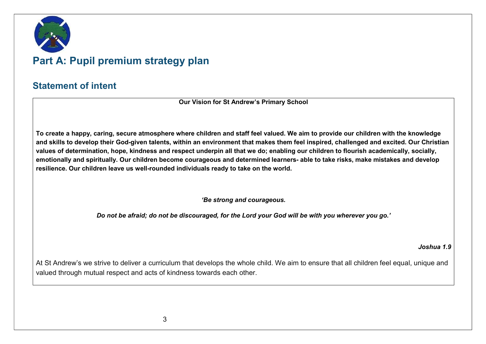

# Part A: Pupil premium strategy plan

#### Statement of intent

Our Vision for St Andrew's Primary School

To create a happy, caring, secure atmosphere where children and staff feel valued. We aim to provide our children with the knowledge and skills to develop their God-given talents, within an environment that makes them feel inspired, challenged and excited. Our Christian values of determination, hope, kindness and respect underpin all that we do; enabling our children to flourish academically, socially, emotionally and spiritually. Our children become courageous and determined learners- able to take risks, make mistakes and develop resilience. Our children leave us well-rounded individuals ready to take on the world.

'Be strong and courageous.

Do not be afraid; do not be discouraged, for the Lord your God will be with you wherever you go.'

#### Joshua 1.9

At St Andrew's we strive to deliver a curriculum that develops the whole child. We aim to ensure that all children feel equal, unique and valued through mutual respect and acts of kindness towards each other.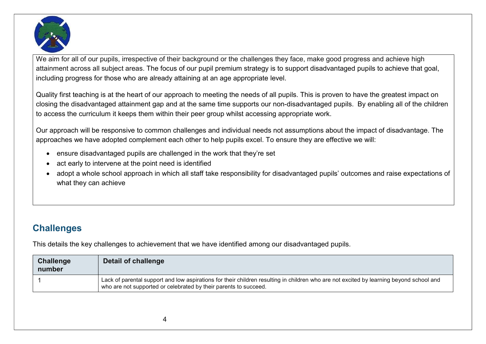

We aim for all of our pupils, irrespective of their background or the challenges they face, make good progress and achieve high attainment across all subject areas. The focus of our pupil premium strategy is to support disadvantaged pupils to achieve that goal, including progress for those who are already attaining at an age appropriate level.

Quality first teaching is at the heart of our approach to meeting the needs of all pupils. This is proven to have the greatest impact on closing the disadvantaged attainment gap and at the same time supports our non-disadvantaged pupils. By enabling all of the children to access the curriculum it keeps them within their peer group whilst accessing appropriate work.

Our approach will be responsive to common challenges and individual needs not assumptions about the impact of disadvantage. The approaches we have adopted complement each other to help pupils excel. To ensure they are effective we will:

- ensure disadvantaged pupils are challenged in the work that they're set
- act early to intervene at the point need is identified
- adopt a whole school approach in which all staff take responsibility for disadvantaged pupils' outcomes and raise expectations of what they can achieve

## **Challenges**

This details the key challenges to achievement that we have identified among our disadvantaged pupils.

| <b>Challenge</b><br>number | Detail of challenge                                                                                                                                                                                         |
|----------------------------|-------------------------------------------------------------------------------------------------------------------------------------------------------------------------------------------------------------|
|                            | Lack of parental support and low aspirations for their children resulting in children who are not excited by learning beyond school and<br>who are not supported or celebrated by their parents to succeed. |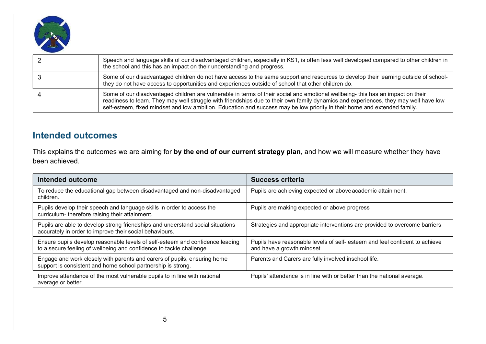

| Speech and language skills of our disadvantaged children, especially in KS1, is often less well developed compared to other children in<br>the school and this has an impact on their understanding and progress.                                                                                                                                                                                    |
|------------------------------------------------------------------------------------------------------------------------------------------------------------------------------------------------------------------------------------------------------------------------------------------------------------------------------------------------------------------------------------------------------|
| Some of our disadvantaged children do not have access to the same support and resources to develop their learning outside of school-<br>they do not have access to opportunities and experiences outside of school that other children do.                                                                                                                                                           |
| Some of our disadvantaged children are vulnerable in terms of their social and emotional wellbeing- this has an impact on their<br>readiness to learn. They may well struggle with friendships due to their own family dynamics and experiences, they may well have low<br>self-esteem, fixed mindset and low ambition. Education and success may be low priority in their home and extended family. |

#### Intended outcomes

This explains the outcomes we are aiming for by the end of our current strategy plan, and how we will measure whether they have been achieved.

| Intended outcome                                                                                                                                     | <b>Success criteria</b>                                                                                  |
|------------------------------------------------------------------------------------------------------------------------------------------------------|----------------------------------------------------------------------------------------------------------|
| To reduce the educational gap between disadvantaged and non-disadvantaged<br>children.                                                               | Pupils are achieving expected or above academic attainment.                                              |
| Pupils develop their speech and language skills in order to access the<br>curriculum- therefore raising their attainment.                            | Pupils are making expected or above progress                                                             |
| Pupils are able to develop strong friendships and understand social situations<br>accurately in order to improve their social behaviours.            | Strategies and appropriate interventions are provided to overcome barriers                               |
| Ensure pupils develop reasonable levels of self-esteem and confidence leading<br>to a secure feeling of wellbeing and confidence to tackle challenge | Pupils have reasonable levels of self-esteem and feel confident to achieve<br>and have a growth mindset. |
| Engage and work closely with parents and carers of pupils, ensuring home<br>support is consistent and home school partnership is strong.             | Parents and Carers are fully involved inschool life.                                                     |
| Improve attendance of the most vulnerable pupils to in line with national<br>average or better.                                                      | Pupils' attendance is in line with or better than the national average.                                  |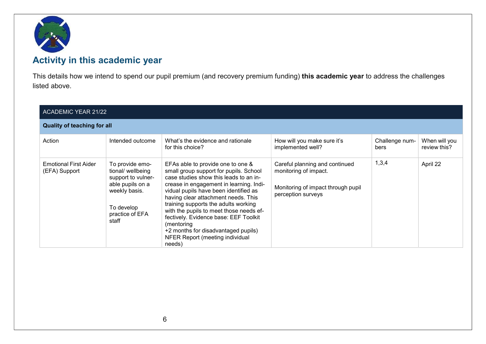

## Activity in this academic year

This details how we intend to spend our pupil premium (and recovery premium funding) this academic year to address the challenges listed above.

| <b>ACADEMIC YEAR 21/22</b>             |                                                                                                                                           |                                                                                                                                                                                                                                                                                                                                                                                                                                                                                |                                                                                                                     |                        |                               |
|----------------------------------------|-------------------------------------------------------------------------------------------------------------------------------------------|--------------------------------------------------------------------------------------------------------------------------------------------------------------------------------------------------------------------------------------------------------------------------------------------------------------------------------------------------------------------------------------------------------------------------------------------------------------------------------|---------------------------------------------------------------------------------------------------------------------|------------------------|-------------------------------|
| <b>Quality of teaching for all</b>     |                                                                                                                                           |                                                                                                                                                                                                                                                                                                                                                                                                                                                                                |                                                                                                                     |                        |                               |
| Action                                 | Intended outcome                                                                                                                          | What's the evidence and rationale<br>for this choice?                                                                                                                                                                                                                                                                                                                                                                                                                          | How will you make sure it's<br>implemented well?                                                                    | Challenge num-<br>bers | When will you<br>review this? |
| Emotional First Aider<br>(EFA) Support | To provide emo-<br>tional/ wellbeing<br>support to vulner-<br>able pupils on a<br>weekly basis.<br>To develop<br>practice of EFA<br>staff | EFAs able to provide one to one &<br>small group support for pupils. School<br>case studies show this leads to an in-<br>crease in engagement in learning. Indi-<br>vidual pupils have been identified as<br>having clear attachment needs. This<br>training supports the adults working<br>with the pupils to meet those needs ef-<br>fectively. Evidence base: EEF Toolkit<br>(mentoring<br>+2 months for disadvantaged pupils)<br>NFER Report (meeting individual<br>needs) | Careful planning and continued<br>monitoring of impact.<br>Monitoring of impact through pupil<br>perception surveys | 1,3,4                  | April 22                      |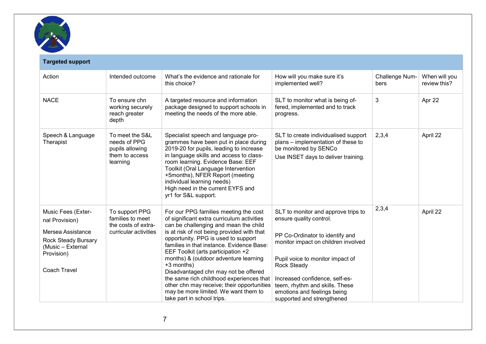

| <b>Targeted support</b>                                                                                      |                                                                                    |                                                                                                                                                                                                                                                                                                                                                                              |                                                                                                                                                                                  |                        |                               |
|--------------------------------------------------------------------------------------------------------------|------------------------------------------------------------------------------------|------------------------------------------------------------------------------------------------------------------------------------------------------------------------------------------------------------------------------------------------------------------------------------------------------------------------------------------------------------------------------|----------------------------------------------------------------------------------------------------------------------------------------------------------------------------------|------------------------|-------------------------------|
| Action                                                                                                       | Intended outcome                                                                   | What's the evidence and rationale for<br>this choice?                                                                                                                                                                                                                                                                                                                        | How will you make sure it's<br>implemented well?                                                                                                                                 | Challenge Num-<br>bers | When will you<br>review this? |
| <b>NACE</b>                                                                                                  | To ensure chn<br>working securely<br>reach greater<br>depth                        | A targeted resource and information<br>package designed to support schools in<br>meeting the needs of the more able.                                                                                                                                                                                                                                                         | SLT to monitor what is being of-<br>fered, implemented and to track<br>progress.                                                                                                 | 3                      | Apr 22                        |
| Speech & Language<br>Therapist                                                                               | To meet the S&L<br>needs of PPG<br>pupils allowing<br>them to access<br>learning   | Specialist speech and language pro-<br>grammes have been put in place during<br>2019-20 for pupils, leading to increase<br>in language skills and access to class-<br>room learning. Evidence Base: EEF<br>Toolkit (Oral Language Intervention<br>+5months), NFER Report (meeting<br>individual learning needs)<br>High need in the current EYFS and<br>yr1 for S&L support. | SLT to create individualised support<br>plans – implementation of these to<br>be monitored by SENCo<br>Use INSET days to deliver training.                                       | 2,3,4                  | April 22                      |
| Music Fees (Exter-<br>nal Provision)<br>Mersea Assistance<br><b>Rock Steady Bursary</b><br>(Music - External | To support PPG<br>families to meet<br>the costs of extra-<br>curricular activities | For our PPG families meeting the cost<br>of significant extra curriculum activities<br>can be challenging and mean the child<br>is at risk of not being provided with that<br>opportunity. PPG is used to support<br>families in that instance. Evidence Base:<br>EEF Toolkit (arts participation +2                                                                         | SLT to monitor and approve trips to<br>ensure quality control.<br>PP Co-Ordinator to identify and<br>monitor impact on children involved                                         | 2,3,4                  | April 22                      |
| Provision)<br><b>Coach Travel</b>                                                                            |                                                                                    | months) & (outdoor adventure learning<br>+3 months)<br>Disadvantaged chn may not be offered<br>the same rich childhood experiences that<br>other chn may receive; their opportunities<br>may be more limited. We want them to<br>take part in school trips.                                                                                                                  | Pupil voice to monitor impact of<br>Rock Steady<br>Increased confidence, self-es-<br>teem, rhythm and skills. These<br>emotions and feelings being<br>supported and strengthened |                        |                               |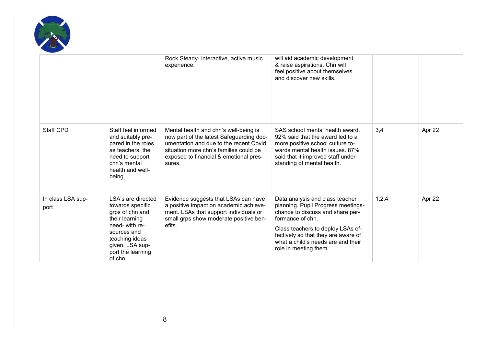

|                           |                                                                                                                                                                                   | Rock Steady- interactive, active music<br>experience.                                                                                                                                                                     | will aid academic development<br>& raise aspirations. Chn will<br>feel positive about themselves<br>and discover new skills.                                                                                                                                             |       |        |
|---------------------------|-----------------------------------------------------------------------------------------------------------------------------------------------------------------------------------|---------------------------------------------------------------------------------------------------------------------------------------------------------------------------------------------------------------------------|--------------------------------------------------------------------------------------------------------------------------------------------------------------------------------------------------------------------------------------------------------------------------|-------|--------|
| <b>Staff CPD</b>          | Staff feel informed<br>and suitably pre-<br>pared in the roles<br>as teachers, the<br>need to support<br>chn's mental<br>health and well-<br>being.                               | Mental health and chn's well-being is<br>now part of the latest Safeguarding doc-<br>umentation and due to the recent Covid<br>situation more chn's families could be<br>exposed to financial & emotional pres-<br>sures. | SAS school mental health award.<br>92% said that the award led to a<br>more positive school culture to-<br>wards mental health issues, 87%<br>said that it improved staff under-<br>standing of mental health.                                                           | 3,4   | Apr 22 |
| In class LSA sup-<br>port | LSA's are directed<br>towards specific<br>grps of chn and<br>their learning<br>need- with re-<br>sources and<br>teaching ideas<br>given. LSA sup-<br>port the learning<br>of chn. | Evidence suggests that LSAs can have<br>a positive impact on academic achieve-<br>ment. LSAs that support individuals or<br>small grps show moderate positive ben-<br>efits.                                              | Data analysis and class teacher<br>planning. Pupil Progress meetings-<br>chance to discuss and share per-<br>formance of chn.<br>Class teachers to deploy LSAs ef-<br>fectively so that they are aware of<br>what a child's needs are and their<br>role in meeting them. | 1,2,4 | Apr 22 |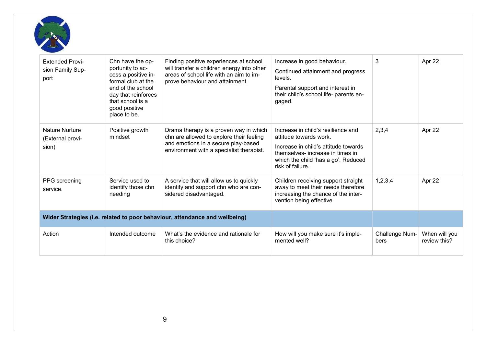

| <b>Extended Provi-</b><br>sion Family Sup-<br>port | Chn have the op-<br>portunity to ac-<br>cess a positive in-<br>formal club at the<br>end of the school<br>day that reinforces<br>that school is a<br>good positive<br>place to be. | Finding positive experiences at school<br>will transfer a children energy into other<br>areas of school life with an aim to im-<br>prove behaviour and attainment.    | Increase in good behaviour.<br>Continued attainment and progress<br>levels.<br>Parental support and interest in<br>their child's school life- parents en-<br>gaged.                                 | 3                      | Apr 22                        |
|----------------------------------------------------|------------------------------------------------------------------------------------------------------------------------------------------------------------------------------------|-----------------------------------------------------------------------------------------------------------------------------------------------------------------------|-----------------------------------------------------------------------------------------------------------------------------------------------------------------------------------------------------|------------------------|-------------------------------|
| <b>Nature Nurture</b><br>(External provi-<br>sion) | Positive growth<br>mindset                                                                                                                                                         | Drama therapy is a proven way in which<br>chn are allowed to explore their feeling<br>and emotions in a secure play-based<br>environment with a specialist therapist. | Increase in child's resilience and<br>attitude towards work.<br>Increase in child's attitude towards<br>themselves- increase in times in<br>which the child 'has a go'. Reduced<br>risk of failure. | 2,3,4                  | Apr 22                        |
| PPG screening<br>service.                          | Service used to<br>identify those chn<br>needing                                                                                                                                   | A service that will allow us to quickly<br>identify and support chn who are con-<br>sidered disadvantaged.                                                            | Children receiving support straight<br>away to meet their needs therefore<br>increasing the chance of the inter-<br>vention being effective.                                                        | 1,2,3,4                | Apr 22                        |
|                                                    |                                                                                                                                                                                    | Wider Strategies (i.e. related to poor behaviour, attendance and wellbeing)                                                                                           |                                                                                                                                                                                                     |                        |                               |
| Action                                             | Intended outcome                                                                                                                                                                   | What's the evidence and rationale for<br>this choice?                                                                                                                 | How will you make sure it's imple-<br>mented well?                                                                                                                                                  | Challenge Num-<br>bers | When will you<br>review this? |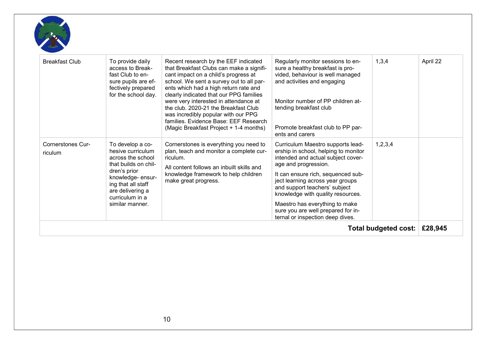

| <b>Breakfast Club</b>               | To provide daily<br>access to Break-<br>fast Club to en-<br>sure pupils are ef-<br>fectively prepared<br>for the school day.                                                                           | Recent research by the EEF indicated<br>that Breakfast Clubs can make a signifi-<br>cant impact on a child's progress at<br>school. We sent a survey out to all par-<br>ents which had a high return rate and<br>clearly indicated that our PPG families<br>were very interested in attendance at<br>the club. 2020-21 the Breakfast Club<br>was incredibly popular with our PPG<br>families. Evidence Base: EEF Research<br>(Magic Breakfast Project + 1-4 months) | Regularly monitor sessions to en-<br>sure a healthy breakfast is pro-<br>vided, behaviour is well managed<br>and activities and engaging<br>Monitor number of PP children at-<br>tending breakfast club<br>Promote breakfast club to PP par-<br>ents and carers                                                                                                                                     | 1,3,4   | April 22 |
|-------------------------------------|--------------------------------------------------------------------------------------------------------------------------------------------------------------------------------------------------------|---------------------------------------------------------------------------------------------------------------------------------------------------------------------------------------------------------------------------------------------------------------------------------------------------------------------------------------------------------------------------------------------------------------------------------------------------------------------|-----------------------------------------------------------------------------------------------------------------------------------------------------------------------------------------------------------------------------------------------------------------------------------------------------------------------------------------------------------------------------------------------------|---------|----------|
| <b>Cornerstones Cur-</b><br>riculum | To develop a co-<br>hesive curriculum<br>across the school<br>that builds on chil-<br>dren's prior<br>knowledge-ensur-<br>ing that all staff<br>are delivering a<br>curriculum in a<br>similar manner. | Cornerstones is everything you need to<br>plan, teach and monitor a complete cur-<br>riculum.<br>All content follows an inbuilt skills and<br>knowledge framework to help children<br>make great progress.                                                                                                                                                                                                                                                          | Curriculum Maestro supports lead-<br>ership in school, helping to monitor<br>intended and actual subject cover-<br>age and progression.<br>It can ensure rich, sequenced sub-<br>ject learning across year groups<br>and support teachers' subject<br>knowledge with quality resources.<br>Maestro has everything to make<br>sure you are well prepared for in-<br>ternal or inspection deep dives. | 1,2,3,4 |          |
| Total budgeted cost:                |                                                                                                                                                                                                        |                                                                                                                                                                                                                                                                                                                                                                                                                                                                     |                                                                                                                                                                                                                                                                                                                                                                                                     | £28,945 |          |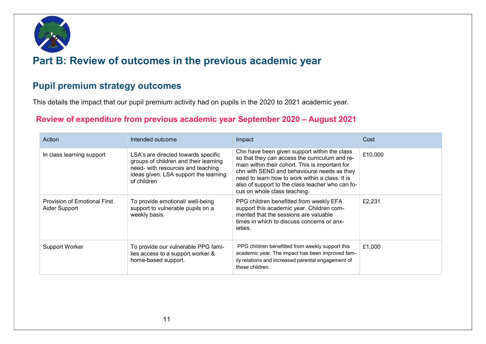

## Part B: Review of outcomes in the previous academic year

#### Pupil premium strategy outcomes

This details the impact that our pupil premium activity had on pupils in the 2020 to 2021 academic year.

#### Review of expenditure from previous academic year September 2020 – August 2021

| Action                                               | Intended outcome                                                                                                                                                          | Impact                                                                                                                                                                                                                                                                                                                                  | Cost    |
|------------------------------------------------------|---------------------------------------------------------------------------------------------------------------------------------------------------------------------------|-----------------------------------------------------------------------------------------------------------------------------------------------------------------------------------------------------------------------------------------------------------------------------------------------------------------------------------------|---------|
| In class learning support                            | LSA's are directed towards specific<br>groups of children and their learning<br>need- with resources and teaching<br>ideas given. LSA support the learning<br>of children | Chn have been given support within the class<br>so that they can access the curriculum and re-<br>main within their cohort. This is important for<br>chn with SEND and behavioural needs as they<br>need to learn how to work within a class. It is<br>also of support to the class teacher who can fo-<br>cus on whole class teaching. | £10,000 |
| <b>Provision of Emotional First</b><br>Aider Support | To provide emotional/ well-being<br>support to vulnerable pupils on a<br>weekly basis.                                                                                    | PPG children benefitted from weekly EFA<br>support this academic year. Children com-<br>mented that the sessions are valuable<br>times in which to discuss concerns or anx-<br>ieties.                                                                                                                                                  | £2,231  |
| <b>Support Worker</b>                                | To provide our vulnerable PPG fami-<br>lies access to a support worker &<br>home-based support.                                                                           | PPG children benefitted from weekly support this<br>academic year. The impact has been improved fam-<br>ily relations and increased parental engagement of<br>these children.                                                                                                                                                           | £1.000  |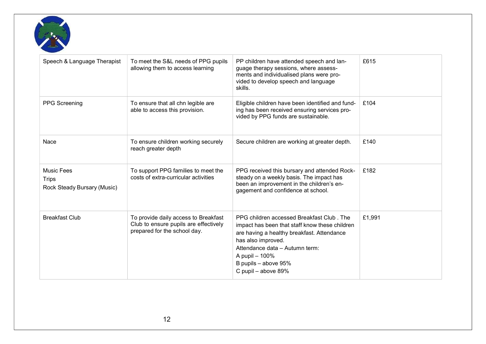

| Speech & Language Therapist                                      | To meet the S&L needs of PPG pupils<br>allowing them to access learning                                       | PP children have attended speech and lan-<br>guage therapy sessions, where assess-<br>ments and individualised plans were pro-<br>vided to develop speech and language<br>skills.                                                                                  | £615   |
|------------------------------------------------------------------|---------------------------------------------------------------------------------------------------------------|--------------------------------------------------------------------------------------------------------------------------------------------------------------------------------------------------------------------------------------------------------------------|--------|
| <b>PPG Screening</b>                                             | To ensure that all chn legible are<br>able to access this provision.                                          | Eligible children have been identified and fund-<br>ing has been received ensuring services pro-<br>vided by PPG funds are sustainable.                                                                                                                            | £104   |
| Nace                                                             | To ensure children working securely<br>reach greater depth                                                    | Secure children are working at greater depth.                                                                                                                                                                                                                      | £140   |
| <b>Music Fees</b><br><b>Trips</b><br>Rock Steady Bursary (Music) | To support PPG families to meet the<br>costs of extra-curricular activities                                   | PPG received this bursary and attended Rock-<br>steady on a weekly basis. The impact has<br>been an improvement in the children's en-<br>gagement and confidence at school.                                                                                        | £182   |
| <b>Breakfast Club</b>                                            | To provide daily access to Breakfast<br>Club to ensure pupils are effectively<br>prepared for the school day. | PPG children accessed Breakfast Club, The<br>impact has been that staff know these children<br>are having a healthy breakfast. Attendance<br>has also improved.<br>Attendance data - Autumn term:<br>A pupil - 100%<br>B pupils - above 95%<br>C pupil - above 89% | £1,991 |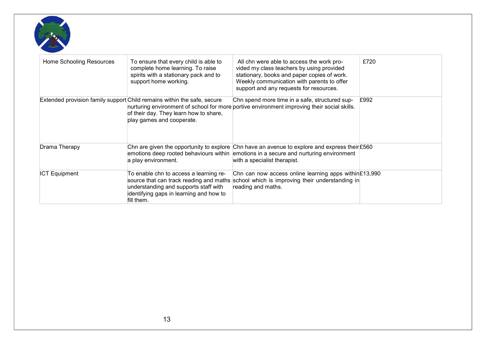

| Home Schooling Resources | To ensure that every child is able to<br>complete home learning. To raise<br>spirits with a stationary pack and to<br>support home working.    | All chn were able to access the work pro-<br>vided my class teachers by using provided<br>stationary, books and paper copies of work.<br>Weekly communication with parents to offer<br>support and any requests for resources. | £720 |
|--------------------------|------------------------------------------------------------------------------------------------------------------------------------------------|--------------------------------------------------------------------------------------------------------------------------------------------------------------------------------------------------------------------------------|------|
|                          | Extended provision family support Child remains within the safe, secure<br>of their day. They learn how to share,<br>play games and cooperate. | Chn spend more time in a safe, structured sup-<br>nurturing environment of school for more portive environment improving their social skills.                                                                                  | £992 |
| Drama Therapy            | a play environment.                                                                                                                            | Chn are given the opportunity to explore Chn have an avenue to explore and express their £560<br>emotions deep rooted behaviours within emotions in a secure and nurturing environment<br>with a specialist therapist.         |      |
| <b>ICT Equipment</b>     | To enable chn to access a learning re-<br>understanding and supports staff with<br>identifying gaps in learning and how to<br>fill them.       | Chn can now access online learning apps within $£13,990$<br>source that can track reading and maths school which is improving their understanding in<br>reading and maths.                                                     |      |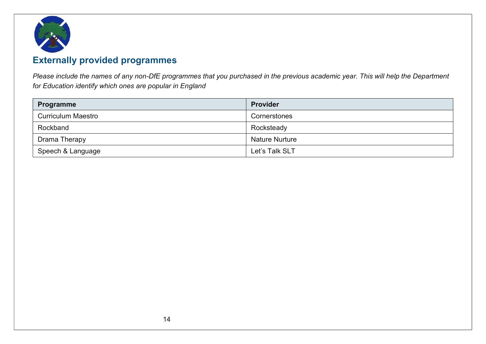

## Externally provided programmes

Please include the names of any non-DfE programmes that you purchased in the previous academic year. This will help the Department for Education identify which ones are popular in England

| <b>Programme</b>          | <b>Provider</b>       |
|---------------------------|-----------------------|
| <b>Curriculum Maestro</b> | Cornerstones          |
| Rockband                  | Rocksteady            |
| Drama Therapy             | <b>Nature Nurture</b> |
| Speech & Language         | Let's Talk SLT        |